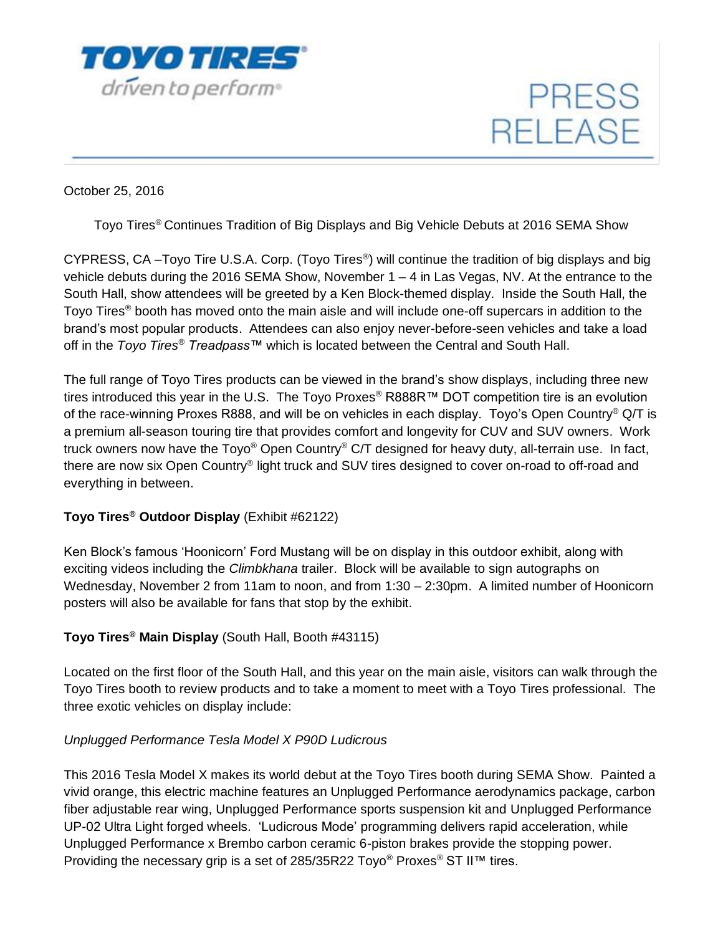

**PRESS RELEASE** 

October 25, 2016

Toyo Tires® Continues Tradition of Big Displays and Big Vehicle Debuts at 2016 SEMA Show

CYPRESS, CA -Toyo Tire U.S.A. Corp. (Toyo Tires<sup>®</sup>) will continue the tradition of big displays and big vehicle debuts during the 2016 SEMA Show, November  $1 - 4$  in Las Vegas, NV. At the entrance to the South Hall, show attendees will be greeted by a Ken Block-themed display. Inside the South Hall, the Toyo Tires® booth has moved onto the main aisle and will include one-off supercars in addition to the brand's most popular products. Attendees can also enjoy never-before-seen vehicles and take a load off in the *Toyo Tires® Treadpass™* which is located between the Central and South Hall.

The full range of Toyo Tires products can be viewed in the brand's show displays, including three new tires introduced this year in the U.S. The Toyo Proxes® R888R™ DOT competition tire is an evolution of the race-winning Proxes R888, and will be on vehicles in each display. Toyo's Open Country® Q/T is a premium all-season touring tire that provides comfort and longevity for CUV and SUV owners. Work truck owners now have the Toyo® Open Country® C/T designed for heavy duty, all-terrain use. In fact, there are now six Open Country® light truck and SUV tires designed to cover on-road to off-road and everything in between.

#### **Toyo Tires® Outdoor Display** (Exhibit #62122)

Ken Block's famous 'Hoonicorn' Ford Mustang will be on display in this outdoor exhibit, along with exciting videos including the *Climbkhana* trailer. Block will be available to sign autographs on Wednesday, November 2 from 11am to noon, and from 1:30 – 2:30pm. A limited number of Hoonicorn posters will also be available for fans that stop by the exhibit.

### **Toyo Tires® Main Display** (South Hall, Booth #43115)

Located on the first floor of the South Hall, and this year on the main aisle, visitors can walk through the Toyo Tires booth to review products and to take a moment to meet with a Toyo Tires professional. The three exotic vehicles on display include:

#### *Unplugged Performance Tesla Model X P90D Ludicrous*

This 2016 Tesla Model X makes its world debut at the Toyo Tires booth during SEMA Show. Painted a vivid orange, this electric machine features an Unplugged Performance aerodynamics package, carbon fiber adjustable rear wing, Unplugged Performance sports suspension kit and Unplugged Performance UP-02 Ultra Light forged wheels. 'Ludicrous Mode' programming delivers rapid acceleration, while Unplugged Performance x Brembo carbon ceramic 6-piston brakes provide the stopping power. Providing the necessary grip is a set of 285/35R22 Toyo<sup>®</sup> Proxes<sup>®</sup> ST II™ tires.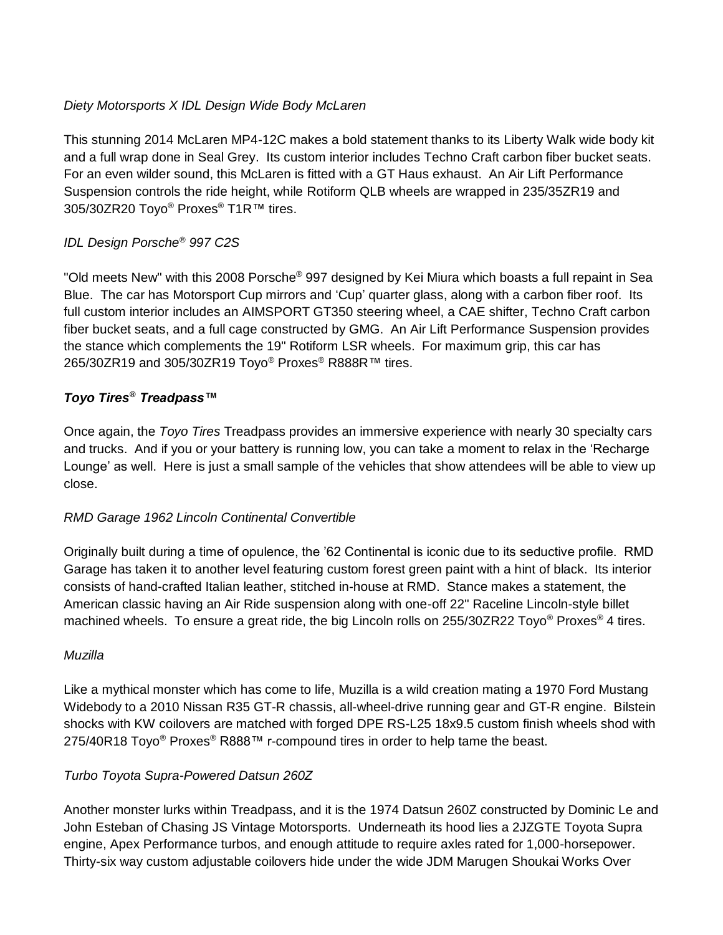### *Diety Motorsports X IDL Design Wide Body McLaren*

This stunning 2014 McLaren MP4-12C makes a bold statement thanks to its Liberty Walk wide body kit and a full wrap done in Seal Grey. Its custom interior includes Techno Craft carbon fiber bucket seats. For an even wilder sound, this McLaren is fitted with a GT Haus exhaust. An Air Lift Performance Suspension controls the ride height, while Rotiform QLB wheels are wrapped in 235/35ZR19 and 305/30ZR20 Toyo® Proxes® T1R™ tires.

## *IDL Design Porsche® 997 C2S*

"Old meets New" with this 2008 Porsche® 997 designed by Kei Miura which boasts a full repaint in Sea Blue. The car has Motorsport Cup mirrors and 'Cup' quarter glass, along with a carbon fiber roof. Its full custom interior includes an AIMSPORT GT350 steering wheel, a CAE shifter, Techno Craft carbon fiber bucket seats, and a full cage constructed by GMG. An Air Lift Performance Suspension provides the stance which complements the 19" Rotiform LSR wheels. For maximum grip, this car has 265/30ZR19 and 305/30ZR19 Toyo® Proxes® R888R™ tires.

## *Toyo Tires® Treadpass™*

Once again, the *Toyo Tires* Treadpass provides an immersive experience with nearly 30 specialty cars and trucks. And if you or your battery is running low, you can take a moment to relax in the 'Recharge Lounge' as well. Here is just a small sample of the vehicles that show attendees will be able to view up close.

### *RMD Garage 1962 Lincoln Continental Convertible*

Originally built during a time of opulence, the '62 Continental is iconic due to its seductive profile. RMD Garage has taken it to another level featuring custom forest green paint with a hint of black. Its interior consists of hand-crafted Italian leather, stitched in-house at RMD. Stance makes a statement, the American classic having an Air Ride suspension along with one-off 22" Raceline Lincoln-style billet machined wheels. To ensure a great ride, the big Lincoln rolls on 255/30ZR22 Toyo<sup>®</sup> Proxes<sup>®</sup> 4 tires.

### *Muzilla*

Like a mythical monster which has come to life, Muzilla is a wild creation mating a 1970 Ford Mustang Widebody to a 2010 Nissan R35 GT-R chassis, all-wheel-drive running gear and GT-R engine. Bilstein shocks with KW coilovers are matched with forged DPE RS-L25 18x9.5 custom finish wheels shod with 275/40R18 Toyo<sup>®</sup> Proxes<sup>®</sup> R888™ r-compound tires in order to help tame the beast.

# *Turbo Toyota Supra-Powered Datsun 260Z*

Another monster lurks within Treadpass, and it is the 1974 Datsun 260Z constructed by Dominic Le and John Esteban of Chasing JS Vintage Motorsports. Underneath its hood lies a 2JZGTE Toyota Supra engine, Apex Performance turbos, and enough attitude to require axles rated for 1,000-horsepower. Thirty-six way custom adjustable coilovers hide under the wide JDM Marugen Shoukai Works Over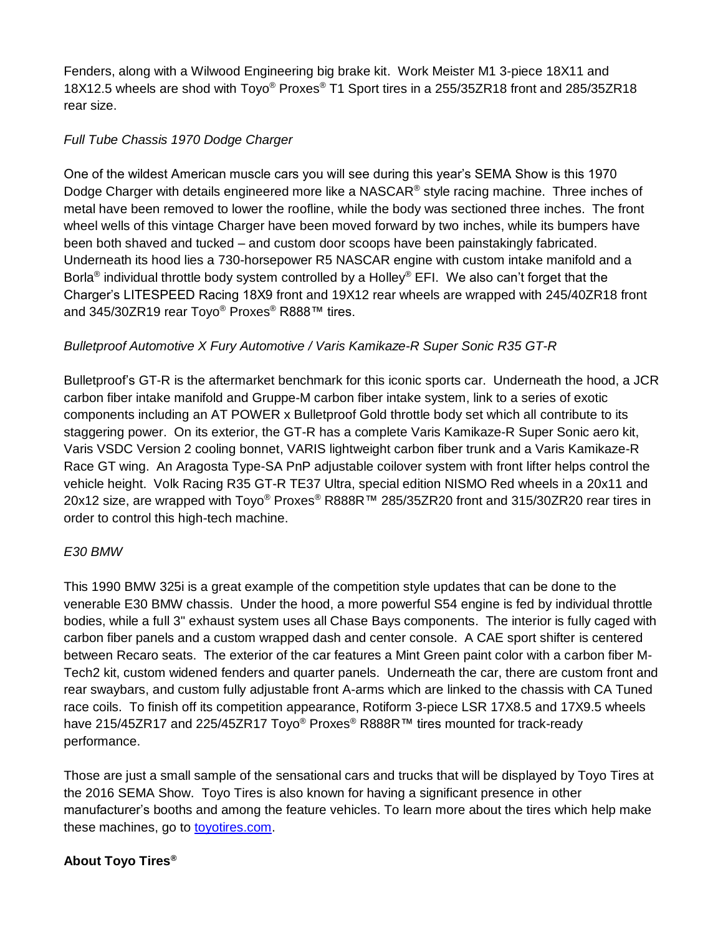Fenders, along with a Wilwood Engineering big brake kit. Work Meister M1 3-piece 18X11 and 18X12.5 wheels are shod with Toyo® Proxes® T1 Sport tires in a 255/35ZR18 front and 285/35ZR18 rear size.

### *Full Tube Chassis 1970 Dodge Charger*

One of the wildest American muscle cars you will see during this year's SEMA Show is this 1970 Dodge Charger with details engineered more like a NASCAR<sup>®</sup> style racing machine. Three inches of metal have been removed to lower the roofline, while the body was sectioned three inches. The front wheel wells of this vintage Charger have been moved forward by two inches, while its bumpers have been both shaved and tucked – and custom door scoops have been painstakingly fabricated. Underneath its hood lies a 730-horsepower R5 NASCAR engine with custom intake manifold and a Borla® individual throttle body system controlled by a Holley® EFI. We also can't forget that the Charger's LITESPEED Racing 18X9 front and 19X12 rear wheels are wrapped with 245/40ZR18 front and 345/30ZR19 rear Toyo® Proxes® R888™ tires.

## *Bulletproof Automotive X Fury Automotive / Varis Kamikaze-R Super Sonic R35 GT-R*

Bulletproof's GT-R is the aftermarket benchmark for this iconic sports car. Underneath the hood, a JCR carbon fiber intake manifold and Gruppe-M carbon fiber intake system, link to a series of exotic components including an AT POWER x Bulletproof Gold throttle body set which all contribute to its staggering power. On its exterior, the GT-R has a complete Varis Kamikaze-R Super Sonic aero kit, Varis VSDC Version 2 cooling bonnet, VARIS lightweight carbon fiber trunk and a Varis Kamikaze-R Race GT wing. An Aragosta Type-SA PnP adjustable coilover system with front lifter helps control the vehicle height. Volk Racing R35 GT-R TE37 Ultra, special edition NISMO Red wheels in a 20x11 and 20x12 size, are wrapped with Toyo® Proxes® R888R™ 285/35ZR20 front and 315/30ZR20 rear tires in order to control this high-tech machine.

### *E30 BMW*

This 1990 BMW 325i is a great example of the competition style updates that can be done to the venerable E30 BMW chassis. Under the hood, a more powerful S54 engine is fed by individual throttle bodies, while a full 3" exhaust system uses all Chase Bays components. The interior is fully caged with carbon fiber panels and a custom wrapped dash and center console. A CAE sport shifter is centered between Recaro seats. The exterior of the car features a Mint Green paint color with a carbon fiber M-Tech2 kit, custom widened fenders and quarter panels. Underneath the car, there are custom front and rear swaybars, and custom fully adjustable front A-arms which are linked to the chassis with CA Tuned race coils. To finish off its competition appearance, Rotiform 3-piece LSR 17X8.5 and 17X9.5 wheels have 215/45ZR17 and 225/45ZR17 Toyo® Proxes<sup>®</sup> R888R™ tires mounted for track-ready performance.

Those are just a small sample of the sensational cars and trucks that will be displayed by Toyo Tires at the 2016 SEMA Show. Toyo Tires is also known for having a significant presence in other manufacturer's booths and among the feature vehicles. To learn more about the tires which help make these machines, go to [toyotires.com.](http://toyotires.com/)

### **About Toyo Tires®**